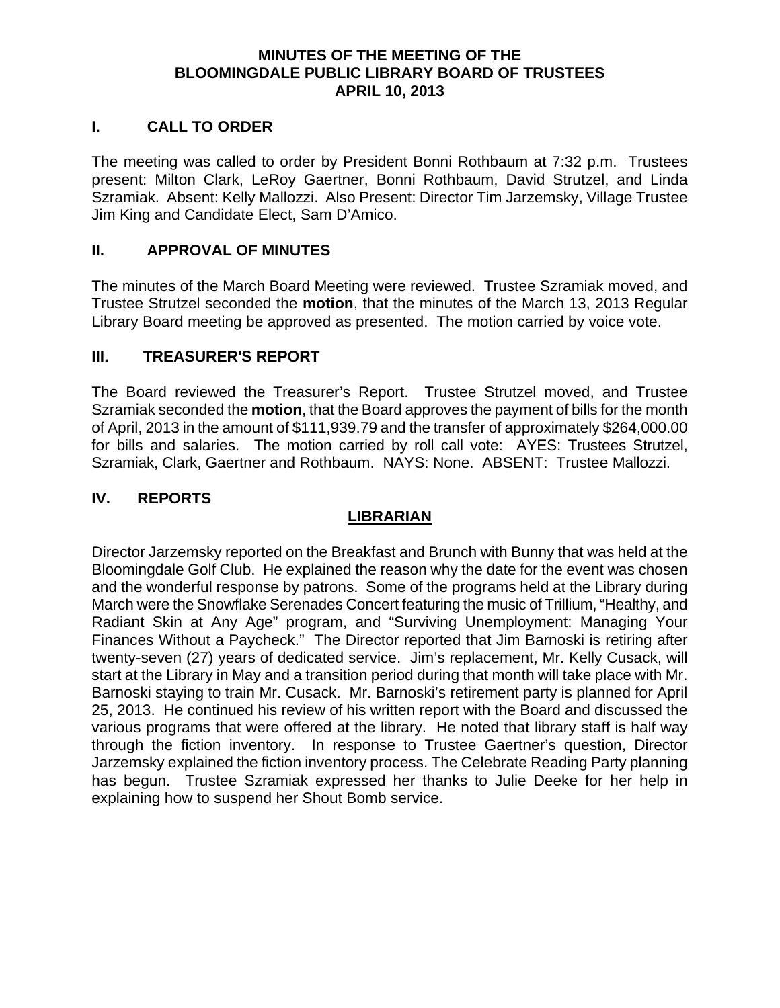### **MINUTES OF THE MEETING OF THE BLOOMINGDALE PUBLIC LIBRARY BOARD OF TRUSTEES APRIL 10, 2013**

#### **I. CALL TO ORDER**

The meeting was called to order by President Bonni Rothbaum at 7:32 p.m. Trustees present: Milton Clark, LeRoy Gaertner, Bonni Rothbaum, David Strutzel, and Linda Szramiak. Absent: Kelly Mallozzi. Also Present: Director Tim Jarzemsky, Village Trustee Jim King and Candidate Elect, Sam D'Amico.

#### **II. APPROVAL OF MINUTES**

The minutes of the March Board Meeting were reviewed. Trustee Szramiak moved, and Trustee Strutzel seconded the **motion**, that the minutes of the March 13, 2013 Regular Library Board meeting be approved as presented. The motion carried by voice vote.

#### **III. TREASURER'S REPORT**

The Board reviewed the Treasurer's Report. Trustee Strutzel moved, and Trustee Szramiak seconded the **motion**, that the Board approves the payment of bills for the month of April, 2013 in the amount of \$111,939.79 and the transfer of approximately \$264,000.00 for bills and salaries. The motion carried by roll call vote: AYES: Trustees Strutzel, Szramiak, Clark, Gaertner and Rothbaum. NAYS: None. ABSENT: Trustee Mallozzi.

### **IV. REPORTS**

## **LIBRARIAN**

Director Jarzemsky reported on the Breakfast and Brunch with Bunny that was held at the Bloomingdale Golf Club. He explained the reason why the date for the event was chosen and the wonderful response by patrons. Some of the programs held at the Library during March were the Snowflake Serenades Concert featuring the music of Trillium, "Healthy, and Radiant Skin at Any Age" program, and "Surviving Unemployment: Managing Your Finances Without a Paycheck." The Director reported that Jim Barnoski is retiring after twenty-seven (27) years of dedicated service. Jim's replacement, Mr. Kelly Cusack, will start at the Library in May and a transition period during that month will take place with Mr. Barnoski staying to train Mr. Cusack. Mr. Barnoski's retirement party is planned for April 25, 2013. He continued his review of his written report with the Board and discussed the various programs that were offered at the library. He noted that library staff is half way through the fiction inventory. In response to Trustee Gaertner's question, Director Jarzemsky explained the fiction inventory process. The Celebrate Reading Party planning has begun. Trustee Szramiak expressed her thanks to Julie Deeke for her help in explaining how to suspend her Shout Bomb service.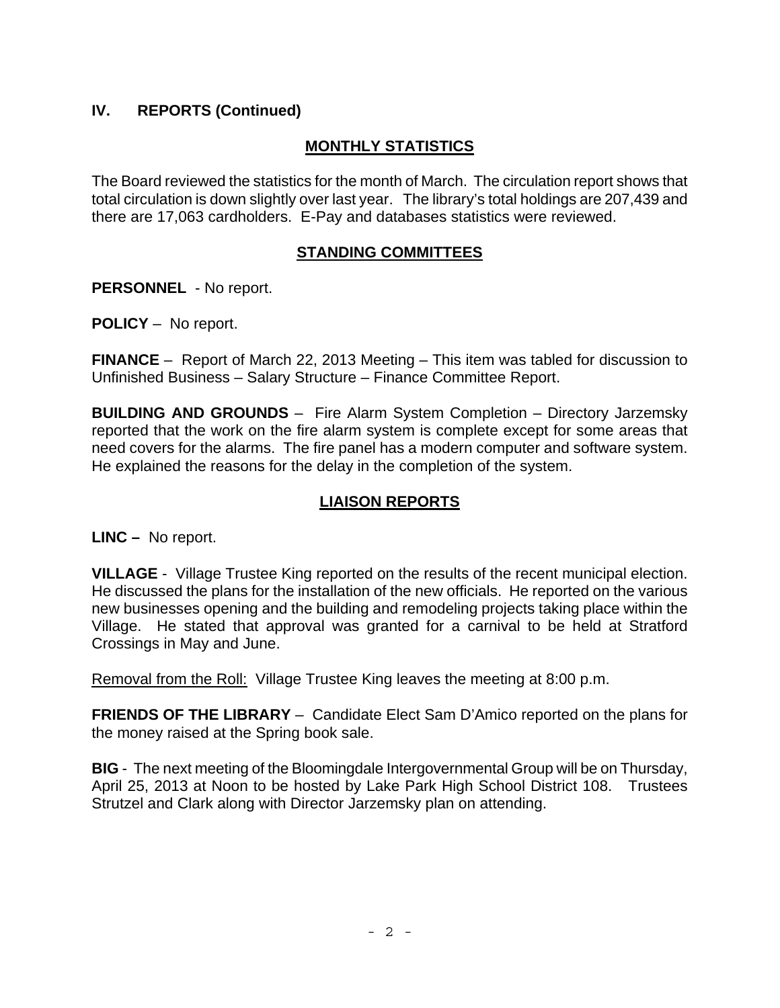# **IV. REPORTS (Continued)**

# **MONTHLY STATISTICS**

The Board reviewed the statistics for the month of March. The circulation report shows that total circulation is down slightly over last year. The library's total holdings are 207,439 and there are 17,063 cardholders. E-Pay and databases statistics were reviewed.

### **STANDING COMMITTEES**

**PERSONNEL** - No report.

**POLICY** – No report.

**FINANCE** – Report of March 22, 2013 Meeting – This item was tabled for discussion to Unfinished Business – Salary Structure – Finance Committee Report.

**BUILDING AND GROUNDS** – Fire Alarm System Completion – Directory Jarzemsky reported that the work on the fire alarm system is complete except for some areas that need covers for the alarms. The fire panel has a modern computer and software system. He explained the reasons for the delay in the completion of the system.

### **LIAISON REPORTS**

**LINC –** No report.

**VILLAGE** - Village Trustee King reported on the results of the recent municipal election. He discussed the plans for the installation of the new officials. He reported on the various new businesses opening and the building and remodeling projects taking place within the Village. He stated that approval was granted for a carnival to be held at Stratford Crossings in May and June.

Removal from the Roll: Village Trustee King leaves the meeting at 8:00 p.m.

**FRIENDS OF THE LIBRARY** – Candidate Elect Sam D'Amico reported on the plans for the money raised at the Spring book sale.

**BIG** - The next meeting of the Bloomingdale Intergovernmental Group will be on Thursday, April 25, 2013 at Noon to be hosted by Lake Park High School District 108. Trustees Strutzel and Clark along with Director Jarzemsky plan on attending.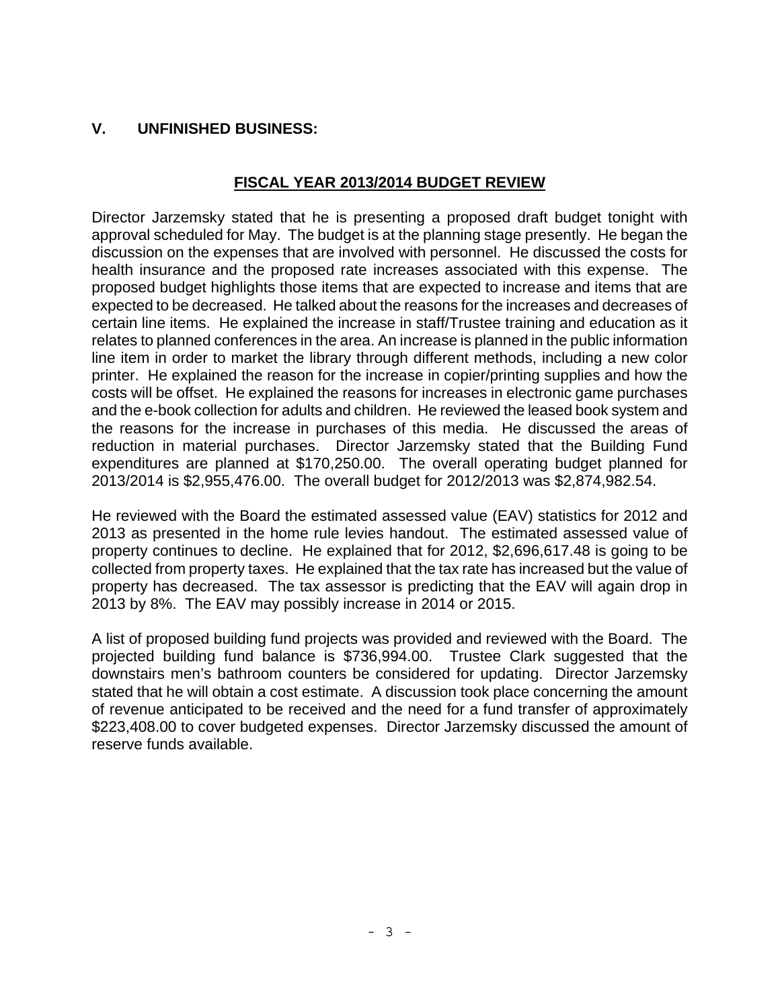# **V. UNFINISHED BUSINESS:**

## **FISCAL YEAR 2013/2014 BUDGET REVIEW**

Director Jarzemsky stated that he is presenting a proposed draft budget tonight with approval scheduled for May. The budget is at the planning stage presently. He began the discussion on the expenses that are involved with personnel. He discussed the costs for health insurance and the proposed rate increases associated with this expense. The proposed budget highlights those items that are expected to increase and items that are expected to be decreased. He talked about the reasons for the increases and decreases of certain line items. He explained the increase in staff/Trustee training and education as it relates to planned conferences in the area. An increase is planned in the public information line item in order to market the library through different methods, including a new color printer. He explained the reason for the increase in copier/printing supplies and how the costs will be offset. He explained the reasons for increases in electronic game purchases and the e-book collection for adults and children. He reviewed the leased book system and the reasons for the increase in purchases of this media. He discussed the areas of reduction in material purchases. Director Jarzemsky stated that the Building Fund expenditures are planned at \$170,250.00. The overall operating budget planned for 2013/2014 is \$2,955,476.00. The overall budget for 2012/2013 was \$2,874,982.54.

He reviewed with the Board the estimated assessed value (EAV) statistics for 2012 and 2013 as presented in the home rule levies handout. The estimated assessed value of property continues to decline. He explained that for 2012, \$2,696,617.48 is going to be collected from property taxes. He explained that the tax rate has increased but the value of property has decreased. The tax assessor is predicting that the EAV will again drop in 2013 by 8%. The EAV may possibly increase in 2014 or 2015.

A list of proposed building fund projects was provided and reviewed with the Board. The projected building fund balance is \$736,994.00. Trustee Clark suggested that the downstairs men's bathroom counters be considered for updating. Director Jarzemsky stated that he will obtain a cost estimate. A discussion took place concerning the amount of revenue anticipated to be received and the need for a fund transfer of approximately \$223,408.00 to cover budgeted expenses. Director Jarzemsky discussed the amount of reserve funds available.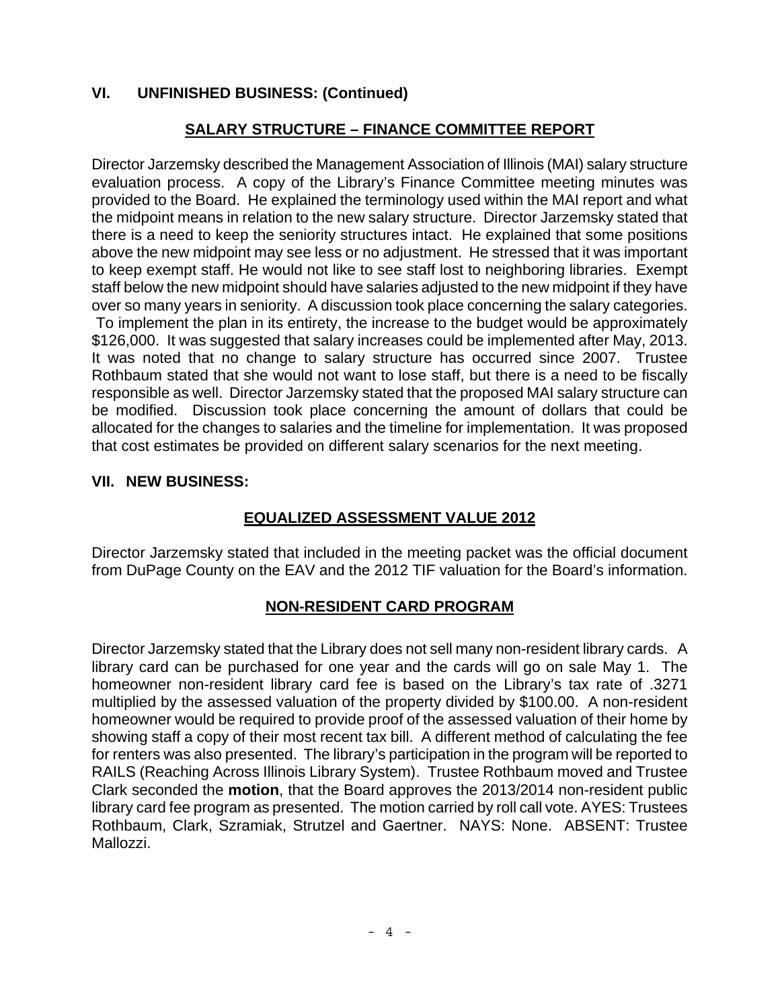## **VI. UNFINISHED BUSINESS: (Continued)**

# **SALARY STRUCTURE – FINANCE COMMITTEE REPORT**

Director Jarzemsky described the Management Association of Illinois (MAI) salary structure evaluation process. A copy of the Library's Finance Committee meeting minutes was provided to the Board. He explained the terminology used within the MAI report and what the midpoint means in relation to the new salary structure. Director Jarzemsky stated that there is a need to keep the seniority structures intact. He explained that some positions above the new midpoint may see less or no adjustment. He stressed that it was important to keep exempt staff. He would not like to see staff lost to neighboring libraries. Exempt staff below the new midpoint should have salaries adjusted to the new midpoint if they have over so many years in seniority. A discussion took place concerning the salary categories.

 To implement the plan in its entirety, the increase to the budget would be approximately \$126,000. It was suggested that salary increases could be implemented after May, 2013. It was noted that no change to salary structure has occurred since 2007. Trustee Rothbaum stated that she would not want to lose staff, but there is a need to be fiscally responsible as well. Director Jarzemsky stated that the proposed MAI salary structure can be modified. Discussion took place concerning the amount of dollars that could be allocated for the changes to salaries and the timeline for implementation. It was proposed that cost estimates be provided on different salary scenarios for the next meeting.

### **VII. NEW BUSINESS:**

## **EQUALIZED ASSESSMENT VALUE 2012**

Director Jarzemsky stated that included in the meeting packet was the official document from DuPage County on the EAV and the 2012 TIF valuation for the Board's information.

## **NON-RESIDENT CARD PROGRAM**

Director Jarzemsky stated that the Library does not sell many non-resident library cards. A library card can be purchased for one year and the cards will go on sale May 1. The homeowner non-resident library card fee is based on the Library's tax rate of .3271 multiplied by the assessed valuation of the property divided by \$100.00. A non-resident homeowner would be required to provide proof of the assessed valuation of their home by showing staff a copy of their most recent tax bill. A different method of calculating the fee for renters was also presented. The library's participation in the program will be reported to RAILS (Reaching Across Illinois Library System). Trustee Rothbaum moved and Trustee Clark seconded the **motion**, that the Board approves the 2013/2014 non-resident public library card fee program as presented. The motion carried by roll call vote. AYES: Trustees Rothbaum, Clark, Szramiak, Strutzel and Gaertner. NAYS: None. ABSENT: Trustee Mallozzi.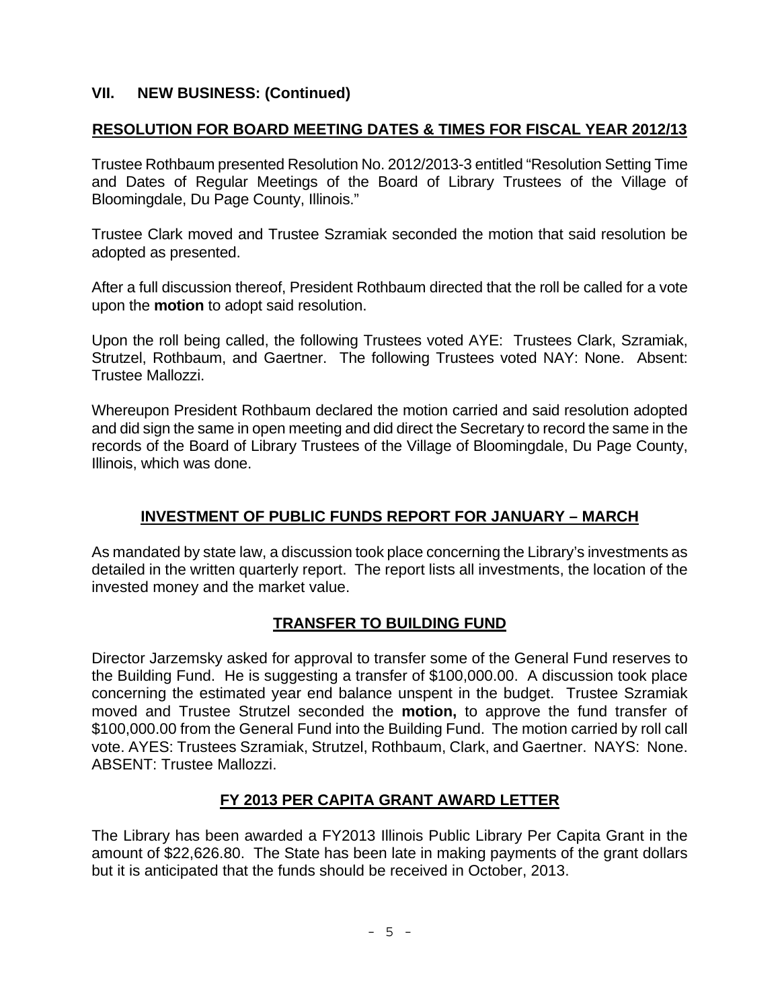## **VII. NEW BUSINESS: (Continued)**

### **RESOLUTION FOR BOARD MEETING DATES & TIMES FOR FISCAL YEAR 2012/13**

Trustee Rothbaum presented Resolution No. 2012/2013-3 entitled "Resolution Setting Time and Dates of Regular Meetings of the Board of Library Trustees of the Village of Bloomingdale, Du Page County, Illinois."

Trustee Clark moved and Trustee Szramiak seconded the motion that said resolution be adopted as presented.

After a full discussion thereof, President Rothbaum directed that the roll be called for a vote upon the **motion** to adopt said resolution.

Upon the roll being called, the following Trustees voted AYE: Trustees Clark, Szramiak, Strutzel, Rothbaum, and Gaertner. The following Trustees voted NAY: None. Absent: Trustee Mallozzi.

Whereupon President Rothbaum declared the motion carried and said resolution adopted and did sign the same in open meeting and did direct the Secretary to record the same in the records of the Board of Library Trustees of the Village of Bloomingdale, Du Page County, Illinois, which was done.

### **INVESTMENT OF PUBLIC FUNDS REPORT FOR JANUARY – MARCH**

As mandated by state law, a discussion took place concerning the Library's investments as detailed in the written quarterly report. The report lists all investments, the location of the invested money and the market value.

## **TRANSFER TO BUILDING FUND**

Director Jarzemsky asked for approval to transfer some of the General Fund reserves to the Building Fund. He is suggesting a transfer of \$100,000.00. A discussion took place concerning the estimated year end balance unspent in the budget. Trustee Szramiak moved and Trustee Strutzel seconded the **motion,** to approve the fund transfer of \$100,000.00 from the General Fund into the Building Fund. The motion carried by roll call vote. AYES: Trustees Szramiak, Strutzel, Rothbaum, Clark, and Gaertner. NAYS: None. ABSENT: Trustee Mallozzi.

### **FY 2013 PER CAPITA GRANT AWARD LETTER**

The Library has been awarded a FY2013 Illinois Public Library Per Capita Grant in the amount of \$22,626.80. The State has been late in making payments of the grant dollars but it is anticipated that the funds should be received in October, 2013.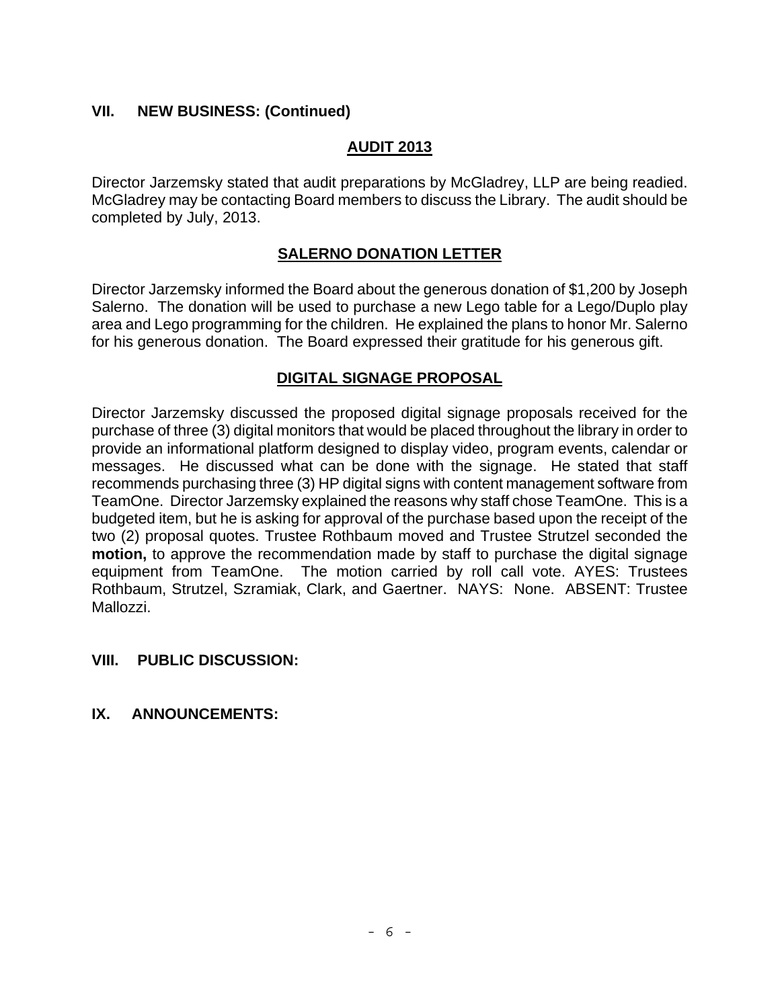### **VII. NEW BUSINESS: (Continued)**

### **AUDIT 2013**

Director Jarzemsky stated that audit preparations by McGladrey, LLP are being readied. McGladrey may be contacting Board members to discuss the Library. The audit should be completed by July, 2013.

### **SALERNO DONATION LETTER**

Director Jarzemsky informed the Board about the generous donation of \$1,200 by Joseph Salerno. The donation will be used to purchase a new Lego table for a Lego/Duplo play area and Lego programming for the children. He explained the plans to honor Mr. Salerno for his generous donation. The Board expressed their gratitude for his generous gift.

### **DIGITAL SIGNAGE PROPOSAL**

Director Jarzemsky discussed the proposed digital signage proposals received for the purchase of three (3) digital monitors that would be placed throughout the library in order to provide an informational platform designed to display video, program events, calendar or messages. He discussed what can be done with the signage. He stated that staff recommends purchasing three (3) HP digital signs with content management software from TeamOne. Director Jarzemsky explained the reasons why staff chose TeamOne. This is a budgeted item, but he is asking for approval of the purchase based upon the receipt of the two (2) proposal quotes. Trustee Rothbaum moved and Trustee Strutzel seconded the **motion,** to approve the recommendation made by staff to purchase the digital signage equipment from TeamOne. The motion carried by roll call vote. AYES: Trustees Rothbaum, Strutzel, Szramiak, Clark, and Gaertner. NAYS: None. ABSENT: Trustee Mallozzi.

### **VIII. PUBLIC DISCUSSION:**

### **IX. ANNOUNCEMENTS:**